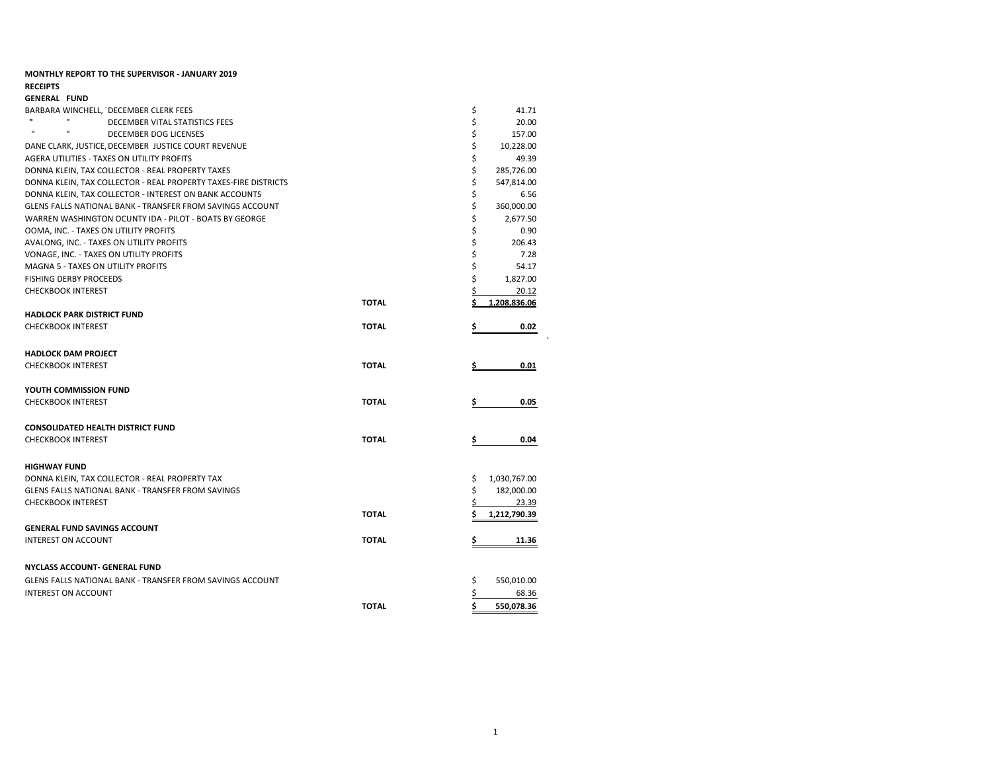| <b>MONTHLY REPORT TO THE SUPERVISOR - JANUARY 2019</b>          |              |                    |
|-----------------------------------------------------------------|--------------|--------------------|
| <b>RECEIPTS</b>                                                 |              |                    |
| <b>GENERAL FUND</b>                                             |              |                    |
| BARBARA WINCHELL, DECEMBER CLERK FEES<br>$\mathbf{u}$           |              | \$<br>41.71        |
| $\mathbf{u}$<br>DECEMBER VITAL STATISTICS FEES<br>$\mathbf{u}$  |              | \$<br>20.00        |
| $\mathbf{u}$<br>DECEMBER DOG LICENSES                           |              | \$<br>157.00       |
| DANE CLARK, JUSTICE, DECEMBER JUSTICE COURT REVENUE             |              | \$<br>10,228.00    |
| AGERA UTILITIES - TAXES ON UTILITY PROFITS                      |              | \$<br>49.39        |
| DONNA KLEIN, TAX COLLECTOR - REAL PROPERTY TAXES                |              | \$<br>285,726.00   |
| DONNA KLEIN, TAX COLLECTOR - REAL PROPERTY TAXES-FIRE DISTRICTS |              | \$<br>547,814.00   |
| DONNA KLEIN, TAX COLLECTOR - INTEREST ON BANK ACCOUNTS          |              | \$<br>6.56         |
| GLENS FALLS NATIONAL BANK - TRANSFER FROM SAVINGS ACCOUNT       |              | \$<br>360,000.00   |
| WARREN WASHINGTON OCUNTY IDA - PILOT - BOATS BY GEORGE          |              | \$<br>2,677.50     |
| OOMA, INC. - TAXES ON UTILITY PROFITS                           |              | \$<br>0.90         |
| AVALONG, INC. - TAXES ON UTILITY PROFITS                        |              | \$<br>206.43       |
| VONAGE, INC. - TAXES ON UTILITY PROFITS                         |              | \$<br>7.28         |
| <b>MAGNA 5 - TAXES ON UTILITY PROFITS</b>                       |              | \$<br>54.17        |
| <b>FISHING DERBY PROCEEDS</b>                                   |              | \$<br>1,827.00     |
| <b>CHECKBOOK INTEREST</b>                                       |              | Ś<br>20.12         |
|                                                                 | <b>TOTAL</b> | 1.208.836.06       |
| <b>HADLOCK PARK DISTRICT FUND</b>                               |              |                    |
| <b>CHECKBOOK INTEREST</b>                                       | <b>TOTAL</b> | 0.02               |
| <b>HADLOCK DAM PROJECT</b>                                      |              |                    |
| <b>CHECKBOOK INTEREST</b>                                       | <b>TOTAL</b> | 0.01               |
|                                                                 |              |                    |
| YOUTH COMMISSION FUND                                           |              |                    |
| <b>CHECKBOOK INTEREST</b>                                       | <b>TOTAL</b> | 0.05<br>s          |
| <b>CONSOLIDATED HEALTH DISTRICT FUND</b>                        |              |                    |
| <b>CHECKBOOK INTEREST</b>                                       | <b>TOTAL</b> | 0.04<br>Ş          |
|                                                                 |              |                    |
| <b>HIGHWAY FUND</b>                                             |              |                    |
| DONNA KLEIN, TAX COLLECTOR - REAL PROPERTY TAX                  |              | \$<br>1,030,767.00 |
| GLENS FALLS NATIONAL BANK - TRANSFER FROM SAVINGS               |              | \$<br>182,000.00   |
| <b>CHECKBOOK INTEREST</b>                                       |              | \$<br>23.39        |
|                                                                 | <b>TOTAL</b> | 1,212,790.39<br>S  |
| <b>GENERAL FUND SAVINGS ACCOUNT</b>                             |              |                    |
| <b>INTEREST ON ACCOUNT</b>                                      | <b>TOTAL</b> | 11.36<br>\$        |
|                                                                 |              |                    |
| NYCLASS ACCOUNT- GENERAL FUND                                   |              |                    |
| GLENS FALLS NATIONAL BANK - TRANSFER FROM SAVINGS ACCOUNT       |              | \$<br>550,010.00   |
| <b>INTEREST ON ACCOUNT</b>                                      |              | \$<br>68.36        |
|                                                                 | <b>TOTAL</b> | \$<br>550,078.36   |
|                                                                 |              |                    |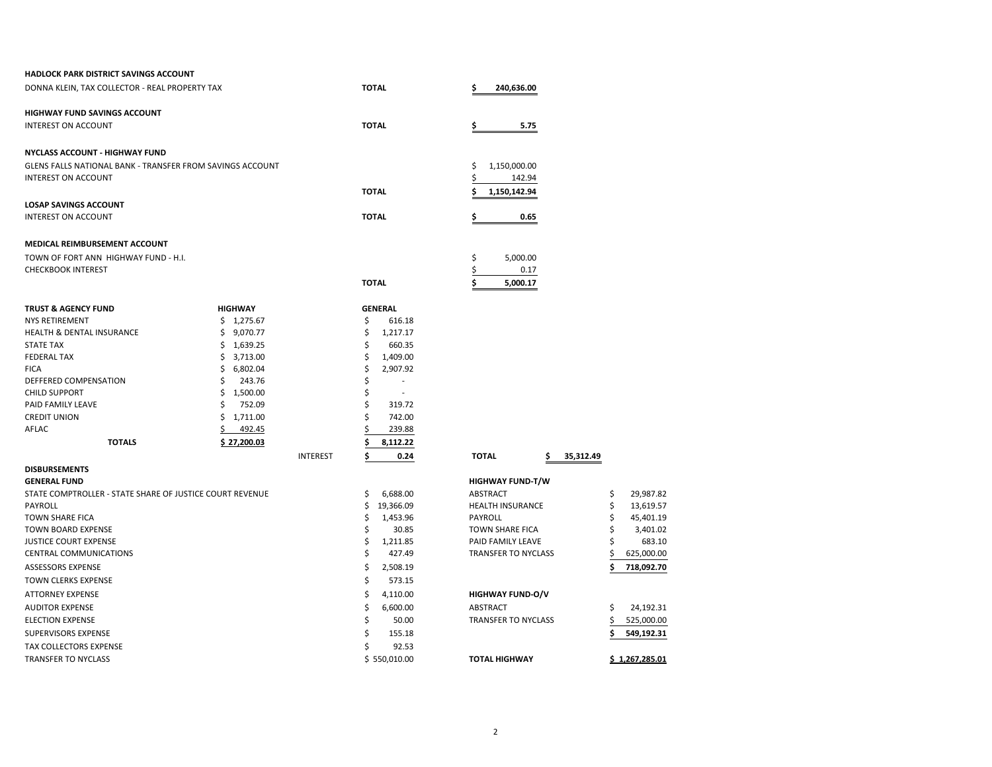| <b>HADLOCK PARK DISTRICT SAVINGS ACCOUNT</b>              |                 |                 |                                 |                  |
|-----------------------------------------------------------|-----------------|-----------------|---------------------------------|------------------|
| DONNA KLEIN, TAX COLLECTOR - REAL PROPERTY TAX            |                 | <b>TOTAL</b>    | \$<br>240,636.00                |                  |
| HIGHWAY FUND SAVINGS ACCOUNT                              |                 |                 |                                 |                  |
| <b>INTEREST ON ACCOUNT</b>                                |                 | <b>TOTAL</b>    | 5.75<br>\$                      |                  |
| <b>NYCLASS ACCOUNT - HIGHWAY FUND</b>                     |                 |                 |                                 |                  |
| GLENS FALLS NATIONAL BANK - TRANSFER FROM SAVINGS ACCOUNT |                 |                 | \$<br>1,150,000.00              |                  |
| <b>INTEREST ON ACCOUNT</b>                                |                 |                 | 142.94                          |                  |
|                                                           |                 | <b>TOTAL</b>    | 1,150,142.94                    |                  |
| <b>LOSAP SAVINGS ACCOUNT</b>                              |                 |                 |                                 |                  |
| <b>INTEREST ON ACCOUNT</b>                                |                 | <b>TOTAL</b>    | 0.65<br>Ş                       |                  |
| MEDICAL REIMBURSEMENT ACCOUNT                             |                 |                 |                                 |                  |
| TOWN OF FORT ANN HIGHWAY FUND - H.I.                      |                 |                 | \$<br>5,000.00                  |                  |
| <b>CHECKBOOK INTEREST</b>                                 |                 |                 | 0.17                            |                  |
|                                                           |                 | <b>TOTAL</b>    | 5,000.17<br>\$                  |                  |
| <b>TRUST &amp; AGENCY FUND</b>                            | <b>HIGHWAY</b>  | <b>GENERAL</b>  |                                 |                  |
| <b>NYS RETIREMENT</b>                                     | \$1,275.67      | \$<br>616.18    |                                 |                  |
| HEALTH & DENTAL INSURANCE                                 | \$<br>9,070.77  | \$<br>1,217.17  |                                 |                  |
| <b>STATE TAX</b>                                          | \$1,639.25      | \$<br>660.35    |                                 |                  |
| <b>FEDERAL TAX</b>                                        | \$<br>3,713.00  | 1,409.00<br>\$. |                                 |                  |
| <b>FICA</b>                                               | \$<br>6,802.04  | \$<br>2,907.92  |                                 |                  |
| DEFFERED COMPENSATION                                     | \$<br>243.76    | \$              |                                 |                  |
| <b>CHILD SUPPORT</b>                                      | \$<br>1,500.00  | \$              |                                 |                  |
| PAID FAMILY LEAVE                                         | Ś<br>752.09     | \$<br>319.72    |                                 |                  |
| <b>CREDIT UNION</b>                                       | Ś.<br>1,711.00  | Ś<br>742.00     |                                 |                  |
| AFLAC                                                     | 492.45          | 239.88          |                                 |                  |
| <b>TOTALS</b>                                             | \$27,200.03     | 8,112.22        |                                 |                  |
| <b>DISBURSEMENTS</b>                                      | <b>INTEREST</b> | \$<br>0.24      | <b>TOTAL</b><br>35,312.49<br>\$ |                  |
| <b>GENERAL FUND</b>                                       |                 |                 | <b>HIGHWAY FUND-T/W</b>         |                  |
| STATE COMPTROLLER - STATE SHARE OF JUSTICE COURT REVENUE  |                 | \$<br>6,688.00  | ABSTRACT                        | \$<br>29,987.82  |
| PAYROLL                                                   |                 | \$<br>19,366.09 | <b>HEALTH INSURANCE</b>         | \$<br>13,619.57  |
| <b>TOWN SHARE FICA</b>                                    |                 | S<br>1,453.96   | PAYROLL                         | \$<br>45,401.19  |
| <b>TOWN BOARD EXPENSE</b>                                 |                 | \$<br>30.85     | <b>TOWN SHARE FICA</b>          | Ś<br>3,401.02    |
| <b>JUSTICE COURT EXPENSE</b>                              |                 | \$<br>1,211.85  | PAID FAMILY LEAVE               | Ś<br>683.10      |
| CENTRAL COMMUNICATIONS                                    |                 | \$<br>427.49    | TRANSFER TO NYCLASS             | \$<br>625,000.00 |
| <b>ASSESSORS EXPENSE</b>                                  |                 | Ś<br>2,508.19   |                                 | \$<br>718,092.70 |
| TOWN CLERKS EXPENSE                                       |                 | \$<br>573.15    |                                 |                  |
| <b>ATTORNEY EXPENSE</b>                                   |                 | \$<br>4,110.00  | <b>HIGHWAY FUND-O/V</b>         |                  |
| <b>AUDITOR EXPENSE</b>                                    |                 | Ś<br>6,600.00   | ABSTRACT                        | 24,192.31<br>\$  |
| <b>ELECTION EXPENSE</b>                                   |                 | \$<br>50.00     | TRANSFER TO NYCLASS             | 525,000.00       |
| SUPERVISORS EXPENSE                                       |                 | \$<br>155.18    |                                 | 549,192.31       |
| TAX COLLECTORS EXPENSE                                    |                 | \$<br>92.53     |                                 |                  |
| <b>TRANSFER TO NYCLASS</b>                                |                 | \$550,010.00    | <b>TOTAL HIGHWAY</b>            | \$1.267.285.01   |
|                                                           |                 |                 |                                 |                  |

#### 2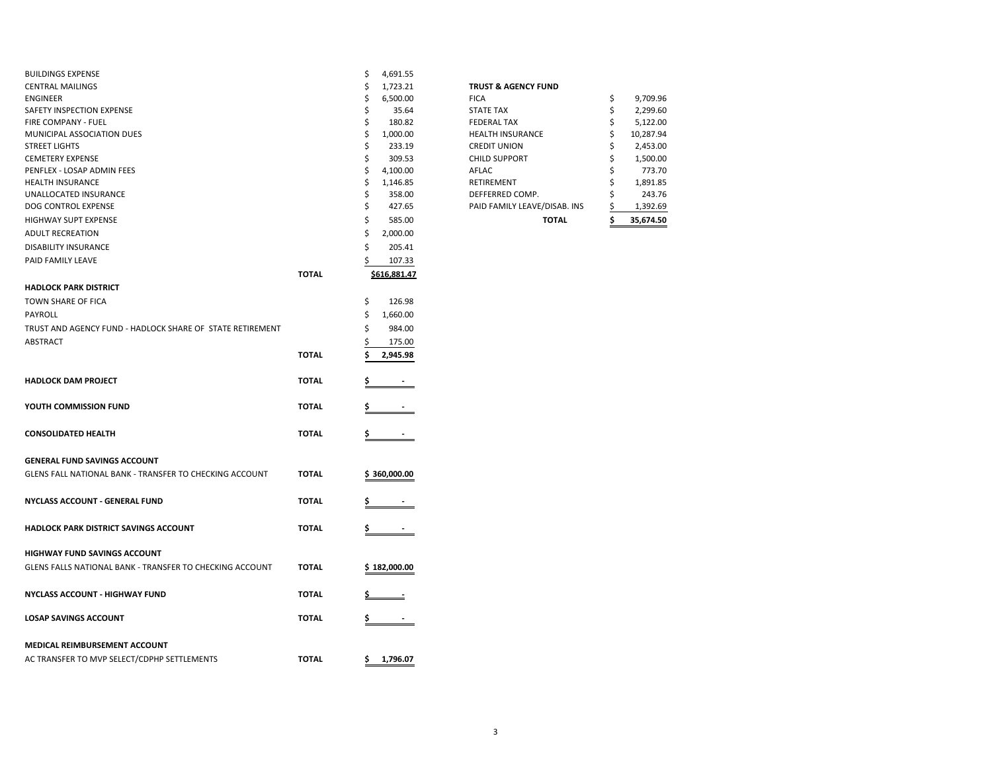| <b>BUILDINGS EXPENSE</b>                                  |              | \$<br>4,691.55                |                                 |          |                      |
|-----------------------------------------------------------|--------------|-------------------------------|---------------------------------|----------|----------------------|
| <b>CENTRAL MAILINGS</b>                                   |              | \$<br>1,723.21                | <b>TRUST &amp; AGENCY FUND</b>  |          |                      |
| <b>ENGINEER</b><br>SAFETY INSPECTION EXPENSE              |              | \$<br>6,500.00<br>\$<br>35.64 | <b>FICA</b><br><b>STATE TAX</b> | \$<br>\$ | 9,709.96<br>2,299.60 |
| FIRE COMPANY - FUEL                                       |              | \$<br>180.82                  | <b>FEDERAL TAX</b>              | \$       | 5,122.00             |
| MUNICIPAL ASSOCIATION DUES                                |              | \$<br>1,000.00                | <b>HEALTH INSURANCE</b>         | \$       | 10,287.94            |
| <b>STREET LIGHTS</b>                                      |              | \$<br>233.19                  | <b>CREDIT UNION</b>             | \$       | 2,453.00             |
| <b>CEMETERY EXPENSE</b>                                   |              | \$<br>309.53                  | <b>CHILD SUPPORT</b>            | \$       | 1,500.00             |
| PENFLEX - LOSAP ADMIN FEES                                |              | \$<br>4,100.00                | AFLAC                           | \$       | 773.70               |
| <b>HEALTH INSURANCE</b>                                   |              | \$<br>1,146.85                | RETIREMENT                      | \$       | 1,891.85             |
| UNALLOCATED INSURANCE                                     |              | \$<br>358.00                  | DEFFERRED COMP.                 | \$       | 243.76               |
| DOG CONTROL EXPENSE                                       |              | \$<br>427.65                  | PAID FAMILY LEAVE/DISAB. INS    | Ś        | 1,392.69             |
| HIGHWAY SUPT EXPENSE                                      |              | \$<br>585.00                  | <b>TOTAL</b>                    | Ś        | 35,674.50            |
|                                                           |              | \$                            |                                 |          |                      |
| <b>ADULT RECREATION</b>                                   |              | 2,000.00                      |                                 |          |                      |
| <b>DISABILITY INSURANCE</b>                               |              | \$<br>205.41                  |                                 |          |                      |
| PAID FAMILY LEAVE                                         |              | ς<br>107.33                   |                                 |          |                      |
|                                                           | <b>TOTAL</b> | \$616,881.47                  |                                 |          |                      |
| <b>HADLOCK PARK DISTRICT</b>                              |              |                               |                                 |          |                      |
| TOWN SHARE OF FICA                                        |              | \$<br>126.98                  |                                 |          |                      |
| PAYROLL                                                   |              | \$<br>1,660.00                |                                 |          |                      |
| TRUST AND AGENCY FUND - HADLOCK SHARE OF STATE RETIREMENT |              | \$<br>984.00                  |                                 |          |                      |
| ABSTRACT                                                  |              | 175.00                        |                                 |          |                      |
|                                                           | <b>TOTAL</b> | 2,945.98                      |                                 |          |                      |
|                                                           |              |                               |                                 |          |                      |
| <b>HADLOCK DAM PROJECT</b>                                | <b>TOTAL</b> |                               |                                 |          |                      |
|                                                           |              |                               |                                 |          |                      |
| YOUTH COMMISSION FUND                                     | <b>TOTAL</b> |                               |                                 |          |                      |
|                                                           |              |                               |                                 |          |                      |
| <b>CONSOLIDATED HEALTH</b>                                | <b>TOTAL</b> |                               |                                 |          |                      |
| <b>GENERAL FUND SAVINGS ACCOUNT</b>                       |              |                               |                                 |          |                      |
|                                                           |              |                               |                                 |          |                      |
| GLENS FALL NATIONAL BANK - TRANSFER TO CHECKING ACCOUNT   | <b>TOTAL</b> | \$360,000.00                  |                                 |          |                      |
|                                                           |              |                               |                                 |          |                      |
| <b>NYCLASS ACCOUNT - GENERAL FUND</b>                     | <b>TOTAL</b> |                               |                                 |          |                      |
| HADLOCK PARK DISTRICT SAVINGS ACCOUNT                     | <b>TOTAL</b> |                               |                                 |          |                      |
|                                                           |              |                               |                                 |          |                      |
| <b>HIGHWAY FUND SAVINGS ACCOUNT</b>                       |              |                               |                                 |          |                      |
| GLENS FALLS NATIONAL BANK - TRANSFER TO CHECKING ACCOUNT  | <b>TOTAL</b> | \$182,000.00                  |                                 |          |                      |
|                                                           |              |                               |                                 |          |                      |
| NYCLASS ACCOUNT - HIGHWAY FUND                            | <b>TOTAL</b> |                               |                                 |          |                      |
|                                                           |              |                               |                                 |          |                      |
| <b>LOSAP SAVINGS ACCOUNT</b>                              | <b>TOTAL</b> |                               |                                 |          |                      |
| MEDICAL REIMBURSEMENT ACCOUNT                             |              |                               |                                 |          |                      |
|                                                           |              |                               |                                 |          |                      |
| AC TRANSFER TO MVP SELECT/CDPHP SETTLEMENTS               | <b>TOTAL</b> | 1,796.07<br>\$                |                                 |          |                      |